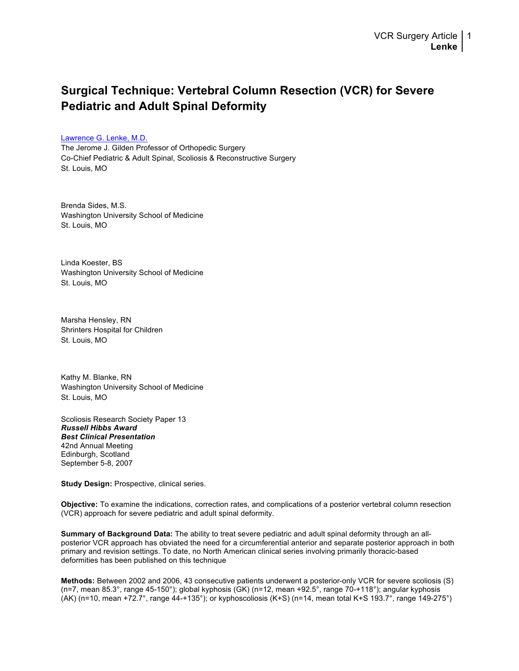# **Surgical Technique: Vertebral Column Resection (VCR) for Severe Pediatric and Adult Spinal Deformity**

Lawrence G. Lenke, M.D.

The Jerome J. Gilden Professor of Orthopedic Surgery Co-Chief Pediatric & Adult Spinal, Scoliosis & Reconstructive Surgery St. Louis, MO

Brenda Sides, M.S. Washington University School of Medicine St. Louis, MO

Linda Koester, BS Washington University School of Medicine St. Louis, MO

Marsha Hensley, RN Shrinters Hospital for Children St. Louis, MO

Kathy M. Blanke, RN Washington University School of Medicine St. Louis, MO

Scoliosis Research Society Paper 13 *Russell Hibbs Award Best Clinical Presentation* 42nd Annual Meeting Edinburgh, Scotland September 5-8, 2007

**Study Design:** Prospective, clinical series.

**Objective:** To examine the indications, correction rates, and complications of a posterior vertebral column resection (VCR) approach for severe pediatric and adult spinal deformity.

**Summary of Background Data:** The ability to treat severe pediatric and adult spinal deformity through an allposterior VCR approach has obviated the need for a circumferential anterior and separate posterior approach in both primary and revision settings. To date, no North American clinical series involving primarily thoracic-based deformities has been published on this technique

**Methods:** Between 2002 and 2006, 43 consecutive patients underwent a posterior-only VCR for severe scoliosis (S) (n=7, mean 85.3°, range 45-150°); global kyphosis (GK) (n=12, mean +92.5°, range 70-+118°); angular kyphosis (AK) (n=10, mean +72.7°, range 44-+135°); or kyphoscoliosis (K+S) (n=14, mean total K+S 193.7°, range 149-275°)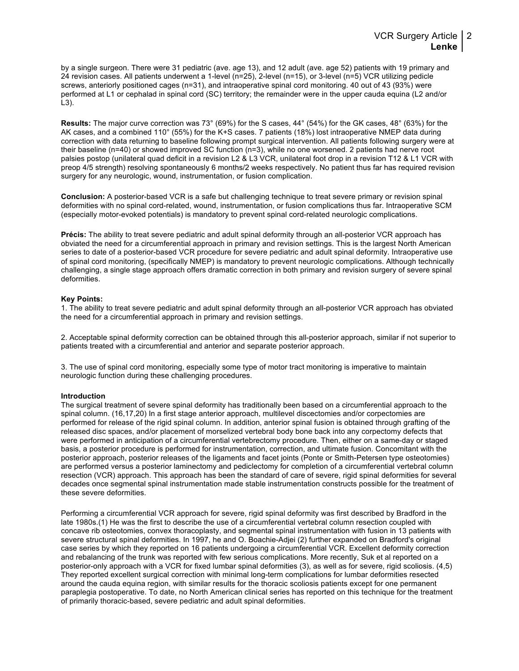by a single surgeon. There were 31 pediatric (ave. age 13), and 12 adult (ave. age 52) patients with 19 primary and 24 revision cases. All patients underwent a 1-level (n=25), 2-level (n=15), or 3-level (n=5) VCR utilizing pedicle screws, anteriorly positioned cages (n=31), and intraoperative spinal cord monitoring. 40 out of 43 (93%) were performed at L1 or cephalad in spinal cord (SC) territory; the remainder were in the upper cauda equina (L2 and/or L3).

**Results:** The major curve correction was 73° (69%) for the S cases, 44° (54%) for the GK cases, 48° (63%) for the AK cases, and a combined 110° (55%) for the K+S cases. 7 patients (18%) lost intraoperative NMEP data during correction with data returning to baseline following prompt surgical intervention. All patients following surgery were at their baseline (n=40) or showed improved SC function (n=3), while no one worsened. 2 patients had nerve root palsies postop (unilateral quad deficit in a revision L2 & L3 VCR, unilateral foot drop in a revision T12 & L1 VCR with preop 4/5 strength) resolving spontaneously 6 months/2 weeks respectively. No patient thus far has required revision surgery for any neurologic, wound, instrumentation, or fusion complication.

**Conclusion:** A posterior-based VCR is a safe but challenging technique to treat severe primary or revision spinal deformities with no spinal cord-related, wound, instrumentation, or fusion complications thus far. Intraoperative SCM (especially motor-evoked potentials) is mandatory to prevent spinal cord-related neurologic complications.

**Précis:** The ability to treat severe pediatric and adult spinal deformity through an all-posterior VCR approach has obviated the need for a circumferential approach in primary and revision settings. This is the largest North American series to date of a posterior-based VCR procedure for severe pediatric and adult spinal deformity. Intraoperative use of spinal cord monitoring, (specifically NMEP) is mandatory to prevent neurologic complications. Although technically challenging, a single stage approach offers dramatic correction in both primary and revision surgery of severe spinal deformities.

#### **Key Points:**

1. The ability to treat severe pediatric and adult spinal deformity through an all-posterior VCR approach has obviated the need for a circumferential approach in primary and revision settings.

2. Acceptable spinal deformity correction can be obtained through this all-posterior approach, similar if not superior to patients treated with a circumferential and anterior and separate posterior approach.

3. The use of spinal cord monitoring, especially some type of motor tract monitoring is imperative to maintain neurologic function during these challenging procedures.

#### **Introduction**

The surgical treatment of severe spinal deformity has traditionally been based on a circumferential approach to the spinal column. (16,17,20) In a first stage anterior approach, multilevel discectomies and/or corpectomies are performed for release of the rigid spinal column. In addition, anterior spinal fusion is obtained through grafting of the released disc spaces, and/or placement of morselized vertebral body bone back into any corpectomy defects that were performed in anticipation of a circumferential vertebrectomy procedure. Then, either on a same-day or staged basis, a posterior procedure is performed for instrumentation, correction, and ultimate fusion. Concomitant with the posterior approach, posterior releases of the ligaments and facet joints (Ponte or Smith-Petersen type osteotomies) are performed versus a posterior laminectomy and pediclectomy for completion of a circumferential vertebral column resection (VCR) approach. This approach has been the standard of care of severe, rigid spinal deformities for several decades once segmental spinal instrumentation made stable instrumentation constructs possible for the treatment of these severe deformities.

Performing a circumferential VCR approach for severe, rigid spinal deformity was first described by Bradford in the late 1980s.(1) He was the first to describe the use of a circumferential vertebral column resection coupled with concave rib osteotomies, convex thoracoplasty, and segmental spinal instrumentation with fusion in 13 patients with severe structural spinal deformities. In 1997, he and O. Boachie-Adjei (2) further expanded on Bradford's original case series by which they reported on 16 patients undergoing a circumferential VCR. Excellent deformity correction and rebalancing of the trunk was reported with few serious complications. More recently, Suk et al reported on a posterior-only approach with a VCR for fixed lumbar spinal deformities (3), as well as for severe, rigid scoliosis. (4,5) They reported excellent surgical correction with minimal long-term complications for lumbar deformities resected around the cauda equina region, with similar results for the thoracic scoliosis patients except for one permanent paraplegia postoperative. To date, no North American clinical series has reported on this technique for the treatment of primarily thoracic-based, severe pediatric and adult spinal deformities.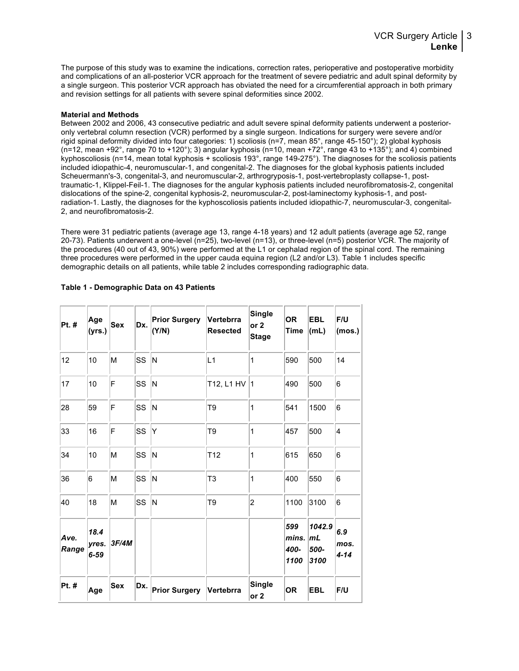The purpose of this study was to examine the indications, correction rates, perioperative and postoperative morbidity and complications of an all-posterior VCR approach for the treatment of severe pediatric and adult spinal deformity by a single surgeon. This posterior VCR approach has obviated the need for a circumferential approach in both primary and revision settings for all patients with severe spinal deformities since 2002.

# **Material and Methods**

Between 2002 and 2006, 43 consecutive pediatric and adult severe spinal deformity patients underwent a posterioronly vertebral column resection (VCR) performed by a single surgeon. Indications for surgery were severe and/or rigid spinal deformity divided into four categories: 1) scoliosis (n=7, mean 85°, range 45-150°); 2) global kyphosis (n=12, mean +92 $\degree$ , range 70 to +120 $\degree$ ); 3) angular kyphosis (n=10, mean +72 $\degree$ , range 43 to +135 $\degree$ ); and 4) combined kyphoscoliosis (n=14, mean total kyphosis + scoliosis 193°, range 149-275°). The diagnoses for the scoliosis patients included idiopathic-4, neuromuscular-1, and congenital-2. The diagnoses for the global kyphosis patients included Scheuermann's-3, congenital-3, and neuromuscular-2, arthrogryposis-1, post-vertebroplasty collapse-1, posttraumatic-1, Klippel-Feil-1. The diagnoses for the angular kyphosis patients included neurofibromatosis-2, congenital dislocations of the spine-2, congenital kyphosis-2, neuromuscular-2, post-laminectomy kyphosis-1, and postradiation-1. Lastly, the diagnoses for the kyphoscoliosis patients included idiopathic-7, neuromuscular-3, congenital-2, and neurofibromatosis-2.

There were 31 pediatric patients (average age 13, range 4-18 years) and 12 adult patients (average age 52, range 20-73). Patients underwent a one-level (n=25), two-level (n=13), or three-level (n=5) posterior VCR. The majority of the procedures (40 out of 43, 90%) were performed at the L1 or cephalad region of the spinal cord. The remaining three procedures were performed in the upper cauda equina region (L2 and/or L3). Table 1 includes specific demographic details on all patients, while table 2 includes corresponding radiographic data.

| Pt. #         | Age<br>(yrs.)             | <b>Sex</b> | Dx. | <b>Prior Surgery</b><br>(Y/N) | Vertebrra<br><b>Resected</b> | <b>Single</b><br>or 2<br><b>Stage</b> | <b>OR</b><br>Time            | <b>EBL</b><br>(mL)           | F/U<br>(mos.)           |
|---------------|---------------------------|------------|-----|-------------------------------|------------------------------|---------------------------------------|------------------------------|------------------------------|-------------------------|
| 12            | 10                        | M          | SS  | N                             | L1                           | 1                                     | 590                          | 500                          | 14                      |
| 17            | 10                        | F          | SS  | N                             | T12, L1 HV                   | 1                                     | 490                          | 500                          | 6                       |
| 28            | 59                        | F          | SS  | N                             | T9                           | 1                                     | 541                          | 1500                         | 6                       |
| 33            | 16                        | F          | SS  | Υ                             | T9                           | 1                                     | 457                          | 500                          | 4                       |
| 34            | 10                        | M          | SS  | N                             | T <sub>12</sub>              | 1                                     | 615                          | 650                          | 6                       |
| 36            | 6                         | M          | SS  | N                             | T3                           | 1                                     | 400                          | 550                          | 6                       |
| 40            | 18                        | M          | SS  | N                             | T9                           | $\overline{\mathbf{c}}$               | 1100                         | 3100                         | 6                       |
| Ave.<br>Range | 18.4<br>yres.<br>$6 - 59$ | 3F/4M      |     |                               |                              |                                       | 599<br>mins.<br>400-<br>1100 | 1042.9<br>mL<br>500-<br>3100 | 6.9<br>mos.<br>$4 - 14$ |
| Pt. #         | Age                       | Sex        | Dx. | <b>Prior Surgery</b>          | Vertebrra                    | <b>Single</b><br>or 2                 | <b>OR</b>                    | EBL                          | F/U                     |

# **Table 1 - Demographic Data on 43 Patients**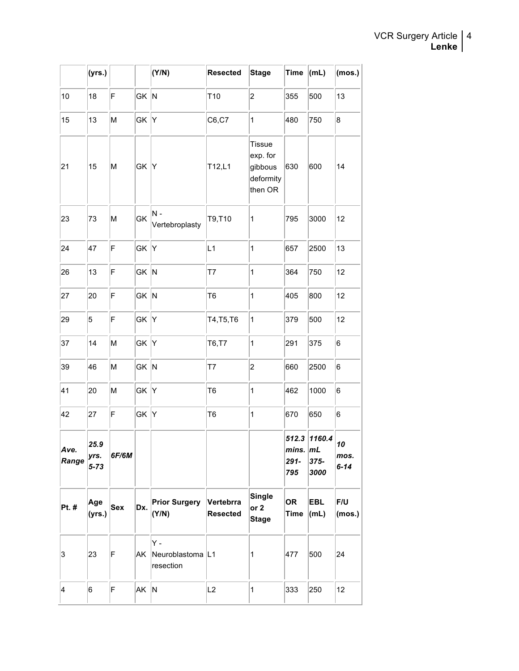|               | (yrs.)                   |            |          | (Y/N)                                             | <b>Resected</b>              | <b>Stage</b>                                                 | <b>Time</b>                    | (mL)                         | (mos.)                 |
|---------------|--------------------------|------------|----------|---------------------------------------------------|------------------------------|--------------------------------------------------------------|--------------------------------|------------------------------|------------------------|
| 10            | 18                       | F          | $GK$ N   |                                                   | T <sub>10</sub>              | $\overline{c}$                                               | 355                            | 500                          | 13                     |
| 15            | 13                       | M          | GK       | Y                                                 | C6,C7                        | $\mathbf{1}$                                                 | 480                            | 750                          | 8                      |
| 21            | 15                       | М          | GK       | Y                                                 | T12,L1                       | <b>Tissue</b><br>exp. for<br>gibbous<br>deformity<br>then OR | 630                            | 600                          | 14                     |
| 23            | 73                       | М          | GK       | $N -$<br>Vertebroplasty                           | T9,T10                       | $\mathbf{1}$                                                 | 795                            | 3000                         | 12                     |
| 24            | 47                       | F          | GK       | İΥ.                                               | L1                           | $\mathbf 1$                                                  | 657                            | 2500                         | 13                     |
| 26            | 13                       | F          | $GK$ N   |                                                   | T7                           | $\mathbf 1$                                                  | 364                            | 750                          | 12                     |
| 27            | 20                       | F          | $GK$ $N$ |                                                   | T <sub>6</sub>               | $\mathbf 1$                                                  | 405                            | 800                          | 12                     |
| 29            | 5                        | F          | $GK$ $Y$ |                                                   | T4, T5, T6                   | $\mathbf{1}$                                                 | 379                            | 500                          | 12                     |
| 37            | 14                       | M          | GK       | Y                                                 | T6,T7                        | $\overline{1}$                                               | 291                            | 375                          | 6                      |
| 39            | 46                       | M          | $GK$ N   |                                                   | T7                           | $\overline{2}$                                               | 660                            | 2500                         | 6                      |
| 41            | 20                       | M          | $GK$ $Y$ |                                                   | T6                           | $\mathbf 1$                                                  | 462                            | 1000                         | 6                      |
| 42            | 27                       | F          | GK       | Y                                                 | T6                           | $\mathbf 1$                                                  | 670                            | 650                          | 6                      |
| Ave.<br>Range | 25.9<br>yrs.<br>$5 - 73$ | 6F/6M      |          |                                                   |                              |                                                              | $mins.$ $mL$<br>$291 -$<br>795 | 512.3 1160.4<br>375-<br>3000 | 10<br>mos.<br>$6 - 14$ |
| Pt. #         | Age<br>(yrs.)            | <b>Sex</b> | Dx.      | <b>Prior Surgery</b><br>(Y/N)                     | Vertebrra<br><b>Resected</b> | <b>Single</b><br>or 2<br><b>Stage</b>                        | OR<br><b>Time</b>              | EBL<br>(mL)                  | F/U<br>(mos.)          |
| 3             | 23                       | F          | AK       | $Y -$<br>Neuroblastoma <sub>L1</sub><br>resection |                              | 1                                                            | 477                            | 500                          | 24                     |
| 4             | 6                        | F          | $AK$ N   |                                                   | L <sub>2</sub>               | $\mathbf 1$                                                  | 333                            | 250                          | 12 <sub>2</sub>        |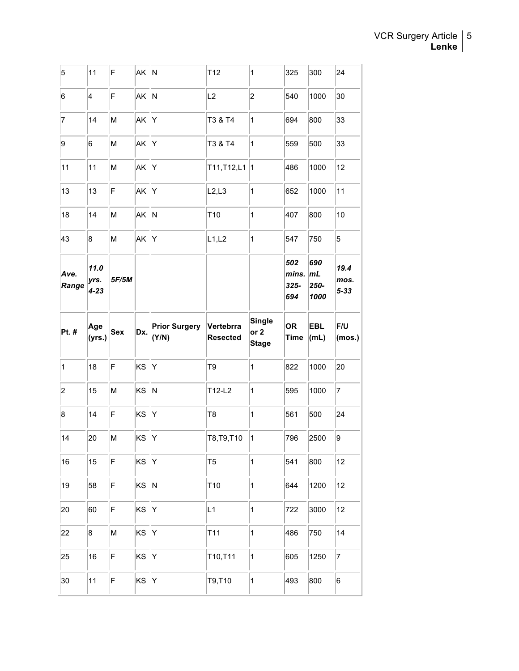| 5              | 11                       | F          | $AK$ N    |                               | T <sub>12</sub>              | $\mathbf 1$          | 325                                | 300                 | 24                       |
|----------------|--------------------------|------------|-----------|-------------------------------|------------------------------|----------------------|------------------------------------|---------------------|--------------------------|
| 6              | $\overline{\mathbf{4}}$  | F          | $AK$ N    |                               | L2                           | $\overline{2}$       | 540                                | 1000                | 30                       |
| $\overline{7}$ | 14                       | M          | AK        | İΥ.                           | T3 & T4                      | 1                    | 694                                | 800                 | 33                       |
| 9              | 6                        | M          | $AK$ $Y$  |                               | T3 & T4                      | $\mathbf 1$          | 559                                | 500                 | 33                       |
| 11             | 11                       | M          | AK        | İΥ.                           | T11,T12,L1 1                 |                      | 486                                | 1000                | 12                       |
| 13             | 13                       | F          | AK        | Y                             | L2, L3                       | 1                    | 652                                | 1000                | 11                       |
| 18             | 14                       | M          | AK N      |                               | T <sub>10</sub>              | $\mathbf 1$          | 407                                | 800                 | 10                       |
| 43             | 8                        | M          | AK        | İΥ.                           | L1, L2                       | $\mathbf{1}$         | 547                                | 750                 | 5                        |
| Ave.<br>Range  | 11.0<br>yrs.<br>$4 - 23$ | 5F/5M      |           |                               |                              |                      | 502<br>$mins.$ $mL$<br>325-<br>694 | 690<br>250-<br>1000 | 19.4<br>mos.<br>$5 - 33$ |
|                |                          |            |           |                               |                              | <b>Single</b>        |                                    |                     |                          |
| Pt. #          | Age<br>(yrs.)            | <b>Sex</b> | Dx.       | <b>Prior Surgery</b><br>(Y/N) | Vertebrra<br><b>Resected</b> | or 2<br><b>Stage</b> | <b>OR</b><br><b>Time</b>           | <b>EBL</b><br>(ML)  | F/U<br>(mos.)            |
| $\mathbf{1}$   | 18                       | F          | <b>KS</b> | Y                             | Т9                           | $\mathbf 1$          | 822                                | 1000                | 20                       |
| $ 2\rangle$    | 15                       | M          | KS        | N                             | T12-L2                       | $\mathbf{1}$         | 595                                | 1000                | $\overline{7}$           |
| 8              | 14                       | F          | KS        | Y                             | T8                           | $\mathbf 1$          | 561                                | 500                 | 24                       |
| 14             | 20                       | M          | ΚS        | Y                             | T8, T9, T10                  | $\mathbf 1$          | 796                                | 2500                | 9                        |
| 16             | 15                       | F          | KS        | Y                             | T <sub>5</sub>               | 1                    | 541                                | 800                 | 12                       |
| 19             | 58                       | F          | <b>KS</b> | N                             | T <sub>10</sub>              | $\overline{1}$       | 644                                | 1200                | 12                       |
| 20             | 60                       | F          | KS        | Y                             | L1                           | 1                    | 722                                | 3000                | 12                       |
| 22             | 8                        | M          | <b>KS</b> | Y                             | T11                          | $\overline{1}$       | 486                                | 750                 | 14                       |
| 25             | 16                       | F          | <b>KS</b> | Y                             | T10,T11                      | $\mathbf{1}$         | 605                                | 1250                | 7                        |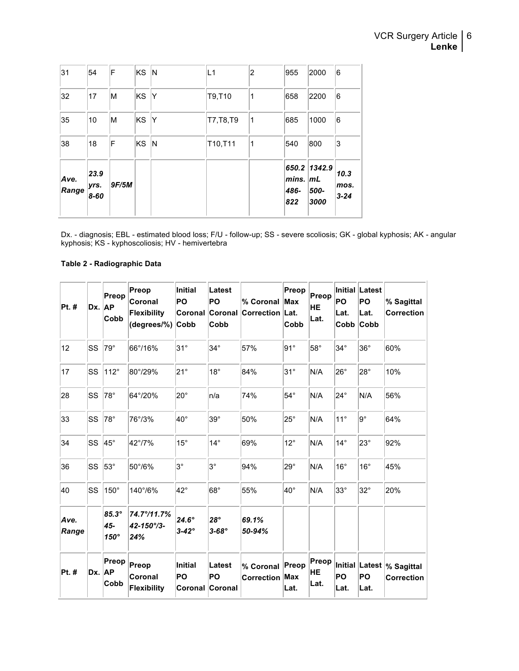| 31<br>32      | 54<br>17             | F<br>M | KS.<br>KS | IN.<br>ΙY | L1<br>T9,T10 | $\overline{2}$<br>$\vert$ 1 | 955<br>658                  | 2000<br>2200                 | 6<br>6                   |
|---------------|----------------------|--------|-----------|-----------|--------------|-----------------------------|-----------------------------|------------------------------|--------------------------|
| 35            | 10                   | M      | KS.       | ΙY        | T7,T8,T9     | $\vert$ 1                   | 685                         | 1000                         | 6                        |
| 38            | 18                   | F      | ΙKS       | IN.       | T10,T11      | 1                           | 540                         | 800                          | 3                        |
| Ave.<br>Range | 23.9<br>yrs.<br>8-60 | 9F/5M  |           |           |              |                             | $mins.$ $mL$<br>486-<br>822 | 650.2 1342.9<br>500-<br>3000 | 10.3<br>mos.<br>$3 - 24$ |

Dx. - diagnosis; EBL - estimated blood loss; F/U - follow-up; SS - severe scoliosis; GK - global kyphosis; AK - angular kyphosis; KS - kyphoscoliosis; HV - hemivertebra

# **Table 2 - Radiographic Data**

| Pt. H         | $Dx.$ AP | Preop<br>Cobb                      | Preop<br>Coronal<br><b>Flexibility</b><br>(degrees/%) | Initial<br>PO<br>Coronal<br>Cobb | Latest<br>PO<br>Coronal<br>Cobb        | % Coronal Max<br>Correction Lat.     | Preop<br>Cobb | Preop<br>HE<br>Lat. | PO<br>Lat.<br>Cobb | Initial Latest<br>PO<br>Lat.<br>Cobb | % Sagittal<br><b>Correction</b>                  |
|---------------|----------|------------------------------------|-------------------------------------------------------|----------------------------------|----------------------------------------|--------------------------------------|---------------|---------------------|--------------------|--------------------------------------|--------------------------------------------------|
| 12            | SS       | 79°                                | 66°/16%                                               | $31^\circ$                       | $34^\circ$                             | 57%                                  | $91^\circ$    | $58^\circ$          | $34^\circ$         | $36^\circ$                           | 60%                                              |
| 17            | SS       | 112°                               | 80°/29%                                               | $21^{\circ}$                     | $18^\circ$                             | 84%                                  | $31^\circ$    | N/A                 | $26^{\circ}$       | $28^\circ$                           | 10%                                              |
| 28            | SS       | 78°                                | 64°/20%                                               | $20^{\circ}$                     | n/a                                    | 74%                                  | $54^{\circ}$  | N/A                 | $24^{\circ}$       | N/A                                  | 56%                                              |
| 33            | SS       | 78°                                | 76°/3%                                                | $40^{\circ}$                     | $39^\circ$                             | 50%                                  | $25^\circ$    | N/A                 | $11^{\circ}$       | $9^{\circ}$                          | 64%                                              |
| 34            | SS       | $ 45^{\circ} $                     | 42°/7%                                                | $15^{\circ}$                     | $14^{\circ}$                           | 69%                                  | $12^{\circ}$  | N/A                 | $14^{\circ}$       | $23^\circ$                           | 92%                                              |
| 36            | SS       | $53^\circ$                         | 50°/6%                                                | $3^\circ$                        | $3^\circ$                              | 94%                                  | $29^\circ$    | N/A                 | $16^{\circ}$       | $16^{\circ}$                         | 45%                                              |
| 40            | SS       | $150^\circ$                        | 140°/6%                                               | $42^{\circ}$                     | $68^\circ$                             | 55%                                  | $40^{\circ}$  | N/A                 | $33^\circ$         | $32^{\circ}$                         | 20%                                              |
| Ave.<br>Range |          | $85.3^\circ$<br>45-<br>$150^\circ$ | 74.7°/11.7%<br>42-150°/3-<br>24%                      | $24.6^\circ$<br>$3-42^\circ$     | $28^\circ$<br>$3-68^\circ$             | 69.1%<br>50-94%                      |               |                     |                    |                                      |                                                  |
| Pt. H         | Dx.  AP  | Preop<br>Cobb                      | Preop<br>Coronal<br><b>Flexibility</b>                | <b>Initial</b><br>PO             | Latest<br>PO<br><b>Coronal Coronal</b> | % Coronal Preop<br><b>Correction</b> | Max<br>∣Lat.  | Preop<br>HE<br>Lat. | PO<br>Lat.         | PO<br>∣Lat.                          | Initial ∣Latest ∣% Sagittal<br><b>Correction</b> |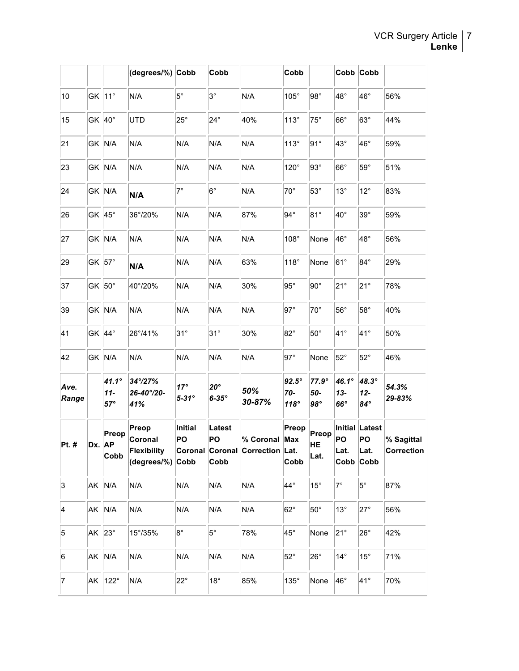|               |                                      | (degrees/%) Cobb                                           |                            | Cobb                         |                                                  | Cobb                          |                                   | Cobb Cobb                     |                              |                          |
|---------------|--------------------------------------|------------------------------------------------------------|----------------------------|------------------------------|--------------------------------------------------|-------------------------------|-----------------------------------|-------------------------------|------------------------------|--------------------------|
| 10            | $GK$ 11°                             | N/A                                                        | $5^{\circ}$                | $3^\circ$                    | N/A                                              | $105^\circ$                   | $98^\circ$                        | $48^{\circ}$                  | 46°                          | 56%                      |
| 15            | $GK$ 40°                             | <b>UTD</b>                                                 | $25^{\circ}$               | $24^{\circ}$                 | 40%                                              | $113^\circ$                   | 75°                               | $66^{\circ}$                  | $63^\circ$                   | 44%                      |
| 21            | GK N/A                               | N/A                                                        | N/A                        | N/A                          | N/A                                              | 113°                          | $91^\circ$                        | 43°                           | 46°                          | 59%                      |
| 23            | GK N/A                               | N/A                                                        | N/A                        | N/A                          | N/A                                              | $120^\circ$                   | $93^\circ$                        | $66^{\circ}$                  | $59^\circ$                   | 51%                      |
| 24            | GK N/A                               | N/A                                                        | $7^\circ$                  | $6^{\circ}$                  | N/A                                              | $70^{\circ}$                  | $53^\circ$                        | $13^\circ$                    | $12^{\circ}$                 | 83%                      |
| 26            | $GK$ 45°                             | 36°/20%                                                    | N/A                        | N/A                          | 87%                                              | $94^{\circ}$                  | $81^\circ$                        | $40^{\circ}$                  | $39^\circ$                   | 59%                      |
| 27            | GK N/A                               | N/A                                                        | N/A                        | N/A                          | N/A                                              | 108°                          | None                              | $ 46^{\circ} $                | $48^{\circ}$                 | 56%                      |
| 29            | GK 57°                               | N/A                                                        | N/A                        | N/A                          | 63%                                              | $118^\circ$                   | None                              | $61^\circ$                    | $84^{\circ}$                 | 29%                      |
| 37            | $GK$ 50°                             | 40°/20%                                                    | N/A                        | N/A                          | 30%                                              | $95^\circ$                    | $90^{\circ}$                      | $21^{\circ}$                  | $21^{\circ}$                 | 78%                      |
| 39            | GK N/A                               | N/A                                                        | N/A                        | N/A                          | N/A                                              | $97^\circ$                    | $70^{\circ}$                      | $56^{\circ}$                  | $58^\circ$                   | 40%                      |
| 41            | GK 44°                               | 26°/41%                                                    | $31^\circ$                 | $31^\circ$                   | 30%                                              | $82^\circ$                    | $50^\circ$                        | $41^\circ$                    | $41^{\circ}$                 | 50%                      |
| 42            | GK N/A                               | N/A                                                        | N/A                        | N/A                          | N/A                                              | $97^\circ$                    | None                              | $52^\circ$                    | $52^{\circ}$                 | 46%                      |
| Ave.<br>Range | $41.1^\circ$<br>$11 -$<br>$57^\circ$ | 34°/27%<br>26-40°/20-<br>41%                               | $17^\circ$<br>$5-31^\circ$ | $20^{\circ}$<br>$6-35^\circ$ | 50%<br>30-87%                                    | $92.5^\circ$<br>$70-$<br>118° | $77.9^\circ$<br>50-<br>$98^\circ$ | $46.1^\circ$<br>$13 -$<br>66° | 48.3°<br>$12-$<br>$84^\circ$ | 54.3%<br>29-83%          |
| Pt. #         | Preop<br>Dx. AP<br>Cobb              | Preop<br>Coronal<br><b>Flexibility</b><br>(degrees/%) Cobb | Initial<br>PO              | Latest<br>PO<br>Cobb         | % Coronal Max<br>Coronal Coronal Correction Lat. | Preop<br>Cobb                 | Preop<br>HE.<br>Lat.              | PO<br>Lat.<br>Cobb Cobb       | Initial Latest<br>PO<br>Lat. | % Sagittal<br>Correction |
| 3             | AK N/A                               | N/A                                                        | N/A                        | N/A                          | N/A                                              | $44^{\circ}$                  | $15^{\circ}$                      | $7^\circ$                     | $5^{\circ}$                  | 87%                      |
| 4             | AK N/A                               | N/A                                                        | N/A                        | N/A                          | N/A                                              | $62^\circ$                    | $50^{\circ}$                      | $13^\circ$                    | $27^\circ$                   | 56%                      |
| 5             | AK 23°                               | 15°/35%                                                    | 8°                         | $5^{\circ}$                  | 78%                                              | $ 45^{\circ} $                | None                              | 21°                           | $26^{\circ}$                 | 42%                      |
| 6             | AK N/A                               | N/A                                                        | N/A                        | N/A                          | N/A                                              | $52^\circ$                    | $26^{\circ}$                      | $14^{\circ}$                  | $15^{\circ}$                 | 71%                      |
| 7             | AK 122°                              | N/A                                                        | $22^{\circ}$               | $18^{\circ}$                 | 85%                                              | $135^\circ$                   | None                              | $ 46^{\circ} $                | $41^{\circ}$                 | 70%                      |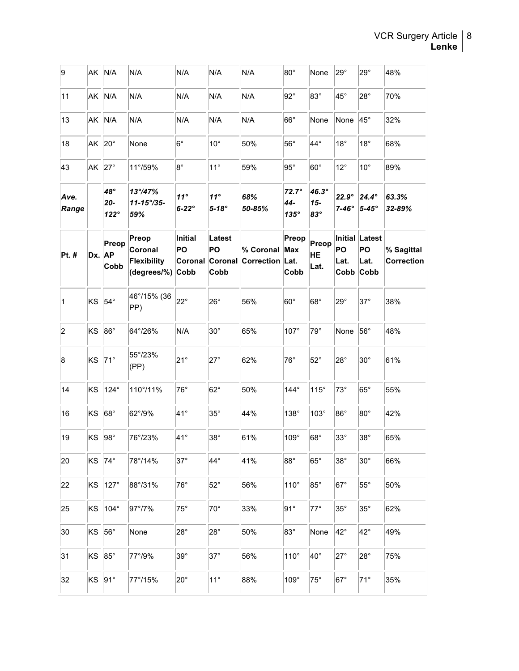| 9             |            | AK N/A                       | N/A                                            | N/A                        | N/A                        | N/A                                              | $80^\circ$                         | None                          | 29°                          | $29^\circ$                           | 48%                             |
|---------------|------------|------------------------------|------------------------------------------------|----------------------------|----------------------------|--------------------------------------------------|------------------------------------|-------------------------------|------------------------------|--------------------------------------|---------------------------------|
| 11            |            | AK N/A                       | N/A                                            | N/A                        | N/A                        | N/A                                              | $92^{\circ}$                       | 83°                           | $45^{\circ}$                 | $28^\circ$                           | 70%                             |
| 13            | AK         | N/A                          | N/A                                            | N/A                        | N/A                        | N/A                                              | $66^{\circ}$                       | None                          | None                         | 45°                                  | 32%                             |
| 18            | AK         | $ 20^{\circ} $               | None                                           | $6^{\circ}$                | $10^{\circ}$               | 50%                                              | $56^{\circ}$                       | $44^{\circ}$                  | $18^{\circ}$                 | $18^{\circ}$                         | 68%                             |
| 43            | AK.        | $ 27^\circ$                  | 11°/59%                                        | 8°                         | $11^{\circ}$               | 59%                                              | $95^\circ$                         | $60^\circ$                    | $12^{\circ}$                 | $10^{\circ}$                         | 89%                             |
| Ave.<br>Range |            | 48°<br>$20 -$<br>$122^\circ$ | 13°/47%<br>$11 - 15^{\circ}/35 -$<br>59%       | $11^\circ$<br>$6-22^\circ$ | $11^\circ$<br>$5-18^\circ$ | 68%<br>50-85%                                    | $72.7^\circ$<br>44-<br>$135^\circ$ | 46.3°<br>$15 -$<br>$83^\circ$ | $22.9^\circ$<br>$7-46^\circ$ | $24.4^\circ$<br>$5-45^\circ$         | 63.3%<br>32-89%                 |
| Pt. H         | $Dx.$ $AP$ | Preop<br>Cobb                | Preop<br>Coronal<br>Flexibility<br>(degrees/%) | Initial<br>PO<br>Cobb      | Latest<br>PO<br>Cobb       | % Coronal Max<br>Coronal Coronal Correction Lat. | Preop<br>Cobb                      | Preop<br>HE<br>Lat.           | PO<br>Lat.<br>Cobb           | Initial Latest<br>PO<br>Lat.<br>Cobb | % Sagittal<br><b>Correction</b> |
| $\vert$ 1     | KS         | $54^{\circ}$                 | 46°/15% (36<br>PP)                             | $22^{\circ}$               | $26^{\circ}$               | 56%                                              | $60^{\circ}$                       | $68^\circ$                    | $29^{\circ}$                 | $37^\circ$                           | 38%                             |
| 2             | KS         | $86^{\circ}$                 | 64°/26%                                        | N/A                        | $30^\circ$                 | 65%                                              | 107°                               | $79^{\circ}$                  | None                         | 56°                                  | 48%                             |
| 8             | KS         | 71°                          | 55°/23%<br>(PP)                                | $21^{\circ}$               | $27^\circ$                 | 62%                                              | $76^{\circ}$                       | $52^{\circ}$                  | $28^\circ$                   | $30^\circ$                           | 61%                             |
| 14            | KS         | 124°                         | 110°/11%                                       | 76°                        | $62^{\circ}$               | 50%                                              | $144^\circ$                        | $115^\circ$                   | $73^\circ$                   | $65^\circ$                           | 55%                             |
| 16            | KS         | $68^\circ$                   | 62°/9%                                         | 41°                        | $35^\circ$                 | 44%                                              | 138°                               | $103^\circ$                   | $86^{\circ}$                 | $80^\circ$                           | 42%                             |
| 19            | KS         | $98^\circ$                   | 76°/23%                                        | 41°                        | $38^\circ$                 | 61%                                              | 109°                               | $68^\circ$                    | $33^\circ$                   | $38^\circ$                           | 65%                             |
| 20            | KS         | $74^{\circ}$                 | 78°/14%                                        | $37^\circ$                 | 44°                        | 41%                                              | $88^\circ$                         | $65^\circ$                    | $38^\circ$                   | $30^\circ$                           | 66%                             |
| 22            | KS         | $127^\circ$                  | 88°/31%                                        | 76°                        | $52^{\circ}$               | 56%                                              | $110^\circ$                        | $85^\circ$                    | $67^\circ$                   | $55^{\circ}$                         | 50%                             |
| 25            | KS         | $104^\circ$                  | 97°/7%                                         | 75°                        | $70^{\circ}$               | 33%                                              | $91^\circ$                         | $77^\circ$                    | $35^\circ$                   | $35^\circ$                           | 62%                             |
| 30            | KS         | $56^\circ$                   | None                                           | $28^\circ$                 | $28^\circ$                 | 50%                                              | $83^\circ$                         | None                          | 42°                          | $42^{\circ}$                         | 49%                             |
| 31            | KS         | $ 85^\circ $                 | 77°/9%                                         | $39^{\circ}$               | $37^\circ$                 | 56%                                              | $110^\circ$                        | $40^{\circ}$                  | $27^\circ$                   | $28^\circ$                           | 75%                             |
| 32            | <b>KS</b>  | $91^\circ$                   | 77°/15%                                        | $20^{\circ}$               | $11^{\circ}$               | 88%                                              | $109^\circ$                        | $75^\circ$                    | $67^\circ$                   | $71^\circ$                           | 35%                             |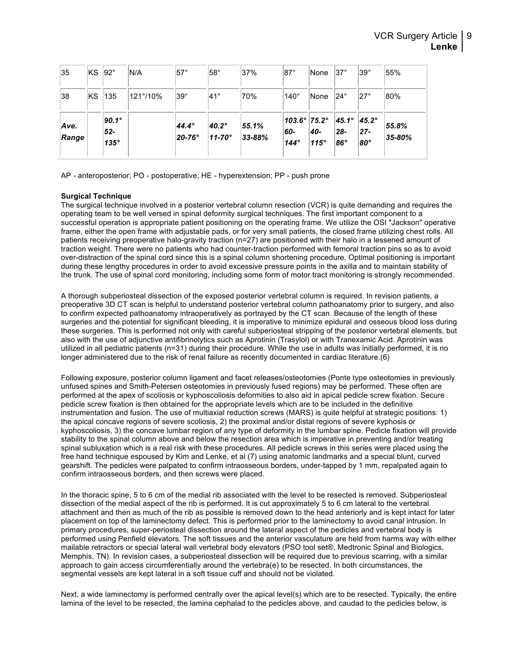| Ave. |     | $90.1^{\circ}$ |          | $44.4^\circ$  | $40.2^\circ$ | 55.1% | $103.6^\circ$ 75.2° |      | $45.1^\circ$  | $45.2^\circ$  |     |
|------|-----|----------------|----------|---------------|--------------|-------|---------------------|------|---------------|---------------|-----|
| 38   | ΚS  | 135            | 121°/10% | $ 39^{\circ}$ | 41°          | 70%   | $140^\circ$         | None | $ 24^{\circ}$ | $ 27^{\circ}$ | 80% |
| 35   | KS. | $ 92^{\circ}$  | N/A      | $57^\circ$    | $58^\circ$   | 37%   | $87^\circ$          | None | $ 37^\circ$   | '39°          | 55% |

AP - anteroposterior; PO - postoperative; HE - hyperextension; PP - push prone

# **Surgical Technique**

The surgical technique involved in a posterior vertebral column resection (VCR) is quite demanding and requires the operating team to be well versed in spinal deformity surgical techniques. The first important component to a successful operation is appropriate patient positioning on the operating frame. We utilize the OSI "Jackson" operative frame, either the open frame with adjustable pads, or for very small patients, the closed frame utilizing chest rolls. All patients receiving preoperative halo-gravity traction (n=27) are positioned with their halo in a lessened amount of traction weight. There were no patients who had counter-traction performed with femoral traction pins so as to avoid over-distraction of the spinal cord since this is a spinal column shortening procedure. Optimal positioning is important during these lengthy procedures in order to avoid excessive pressure points in the axilla and to maintain stability of the trunk. The use of spinal cord monitoring, including some form of motor tract monitoring is strongly recommended.

A thorough subperiosteal dissection of the exposed posterior vertebral column is required. In revision patients, a preoperative 3D CT scan is helpful to understand posterior vertebral column pathoanatomy prior to surgery, and also to confirm expected pathoanatomy intraoperatively as portrayed by the CT scan. Because of the length of these surgeries and the potential for significant bleeding, it is imperative to minimize epidural and osseous blood loss during these surgeries. This is performed not only with careful subperiosteal stripping of the posterior vertebral elements, but also with the use of adjunctive antifibrinolytics such as Aprotinin (Trasylol) or with Tranexamic Acid. Aprotinin was utilized in all pediatric patients (n=31) during their procedure. While the use in adults was initially performed, it is no longer administered due to the risk of renal failure as recently documented in cardiac literature.(6)

Following exposure, posterior column ligament and facet releases/osteotomies (Ponte type osteotomies in previously unfused spines and Smith-Petersen osteotomies in previously fused regions) may be performed. These often are performed at the apex of scoliosis or kyphoscoliosis deformities to also aid in apical pedicle screw fixation. Secure pedicle screw fixation is then obtained for the appropriate levels which are to be included in the definitive instrumentation and fusion. The use of multiaxial reduction screws (MARS) is quite helpful at strategic positions: 1) the apical concave regions of severe scoliosis, 2) the proximal and/or distal regions of severe kyphosis or kyphoscoliosis, 3) the concave lumbar region of any type of deformity in the lumbar spine. Pedicle fixation will provide stability to the spinal column above and below the resection area which is imperative in preventing and/or treating spinal subluxation which is a real risk with these procedures. All pedicle screws in this series were placed using the free hand technique espoused by Kim and Lenke, et al (7) using anatomic landmarks and a special blunt, curved gearshift. The pedicles were palpated to confirm intraosseous borders, under-tapped by 1 mm, repalpated again to confirm intraosseous borders, and then screws were placed.

In the thoracic spine, 5 to 6 cm of the medial rib associated with the level to be resected is removed. Subperiosteal dissection of the medial aspect of the rib is performed. It is cut approximately 5 to 6 cm lateral to the vertebral attachment and then as much of the rib as possible is removed down to the head anteriorly and is kept intact for later placement on top of the laminectomy defect. This is performed prior to the laminectomy to avoid canal intrusion. In primary procedures, super-periosteal dissection around the lateral aspect of the pedicles and vertebral body is performed using Penfield elevators. The soft tissues and the anterior vasculature are held from harms way with either mailable retractors or special lateral wall vertebral body elevators (PSO tool set®, Medtronic Spinal and Biologics, Memphis, TN). In revision cases, a subperiosteal dissection will be required due to previous scarring, with a similar approach to gain access circumferentially around the vertebra(e) to be resected. In both circumstances, the segmental vessels are kept lateral in a soft tissue cuff and should not be violated.

Next, a wide laminectomy is performed centrally over the apical level(s) which are to be resected. Typically, the entire lamina of the level to be resected, the lamina cephalad to the pedicles above, and caudad to the pedicles below, is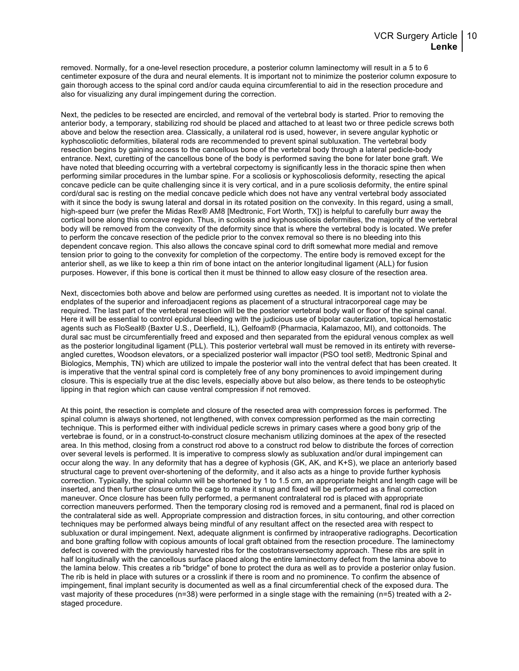removed. Normally, for a one-level resection procedure, a posterior column laminectomy will result in a 5 to 6 centimeter exposure of the dura and neural elements. It is important not to minimize the posterior column exposure to gain thorough access to the spinal cord and/or cauda equina circumferential to aid in the resection procedure and also for visualizing any dural impingement during the correction.

Next, the pedicles to be resected are encircled, and removal of the vertebral body is started. Prior to removing the anterior body, a temporary, stabilizing rod should be placed and attached to at least two or three pedicle screws both above and below the resection area. Classically, a unilateral rod is used, however, in severe angular kyphotic or kyphoscoliotic deformities, bilateral rods are recommended to prevent spinal subluxation. The vertebral body resection begins by gaining access to the cancellous bone of the vertebral body through a lateral pedicle-body entrance. Next, curetting of the cancellous bone of the body is performed saving the bone for later bone graft. We have noted that bleeding occurring with a vertebral corpectomy is significantly less in the thoracic spine then when performing similar procedures in the lumbar spine. For a scoliosis or kyphoscoliosis deformity, resecting the apical concave pedicle can be quite challenging since it is very cortical, and in a pure scoliosis deformity, the entire spinal cord/dural sac is resting on the medial concave pedicle which does not have any ventral vertebral body associated with it since the body is swung lateral and dorsal in its rotated position on the convexity. In this regard, using a small, high-speed burr (we prefer the Midas Rex® AM8 [Medtronic, Fort Worth, TX]) is helpful to carefully burr away the cortical bone along this concave region. Thus, in scoliosis and kyphoscoliosis deformities, the majority of the vertebral body will be removed from the convexity of the deformity since that is where the vertebral body is located. We prefer to perform the concave resection of the pedicle prior to the convex removal so there is no bleeding into this dependent concave region. This also allows the concave spinal cord to drift somewhat more medial and remove tension prior to going to the convexity for completion of the corpectomy. The entire body is removed except for the anterior shell, as we like to keep a thin rim of bone intact on the anterior longitudinal ligament (ALL) for fusion purposes. However, if this bone is cortical then it must be thinned to allow easy closure of the resection area.

Next, discectomies both above and below are performed using curettes as needed. It is important not to violate the endplates of the superior and inferoadjacent regions as placement of a structural intracorporeal cage may be required. The last part of the vertebral resection will be the posterior vertebral body wall or floor of the spinal canal. Here it will be essential to control epidural bleeding with the judicious use of bipolar cauterization, topical hemostatic agents such as FloSeal® (Baxter U.S., Deerfield, IL), Gelfoam® (Pharmacia, Kalamazoo, MI), and cottonoids. The dural sac must be circumferentially freed and exposed and then separated from the epidural venous complex as well as the posterior longitudinal ligament (PLL). This posterior vertebral wall must be removed in its entirety with reverseangled curettes, Woodson elevators, or a specialized posterior wall impactor (PSO tool set®, Medtronic Spinal and Biologics, Memphis, TN) which are utilized to impale the posterior wall into the ventral defect that has been created. It is imperative that the ventral spinal cord is completely free of any bony prominences to avoid impingement during closure. This is especially true at the disc levels, especially above but also below, as there tends to be osteophytic lipping in that region which can cause ventral compression if not removed.

At this point, the resection is complete and closure of the resected area with compression forces is performed. The spinal column is always shortened, not lengthened, with convex compression performed as the main correcting technique. This is performed either with individual pedicle screws in primary cases where a good bony grip of the vertebrae is found, or in a construct-to-construct closure mechanism utilizing dominoes at the apex of the resected area. In this method, closing from a construct rod above to a construct rod below to distribute the forces of correction over several levels is performed. It is imperative to compress slowly as subluxation and/or dural impingement can occur along the way. In any deformity that has a degree of kyphosis (GK, AK, and K+S), we place an anteriorly based structural cage to prevent over-shortening of the deformity, and it also acts as a hinge to provide further kyphosis correction. Typically, the spinal column will be shortened by 1 to 1.5 cm, an appropriate height and length cage will be inserted, and then further closure onto the cage to make it snug and fixed will be performed as a final correction maneuver. Once closure has been fully performed, a permanent contralateral rod is placed with appropriate correction maneuvers performed. Then the temporary closing rod is removed and a permanent, final rod is placed on the contralateral side as well. Appropriate compression and distraction forces, in situ contouring, and other correction techniques may be performed always being mindful of any resultant affect on the resected area with respect to subluxation or dural impingement. Next, adequate alignment is confirmed by intraoperative radiographs. Decortication and bone grafting follow with copious amounts of local graft obtained from the resection procedure. The laminectomy defect is covered with the previously harvested ribs for the costotransversectomy approach. These ribs are split in half longitudinally with the cancellous surface placed along the entire laminectomy defect from the lamina above to the lamina below. This creates a rib "bridge" of bone to protect the dura as well as to provide a posterior onlay fusion. The rib is held in place with sutures or a crosslink if there is room and no prominence. To confirm the absence of impingement, final implant security is documented as well as a final circumferential check of the exposed dura. The vast majority of these procedures (n=38) were performed in a single stage with the remaining (n=5) treated with a 2 staged procedure.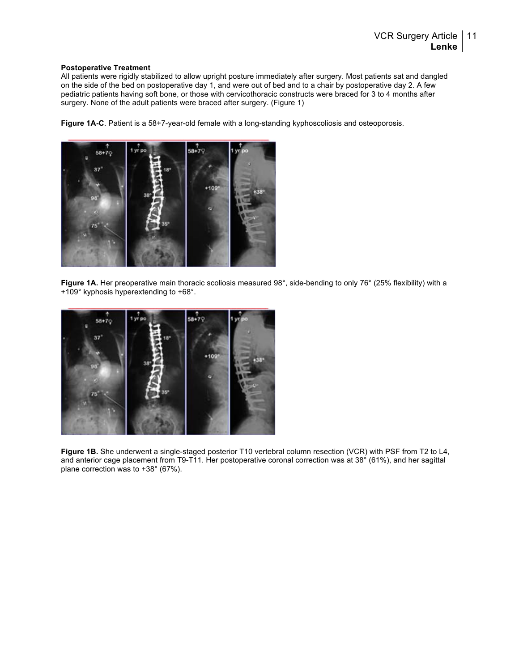# VCR Surgery Article 11 **Lenke**

#### **Postoperative Treatment**

All patients were rigidly stabilized to allow upright posture immediately after surgery. Most patients sat and dangled on the side of the bed on postoperative day 1, and were out of bed and to a chair by postoperative day 2. A few pediatric patients having soft bone, or those with cervicothoracic constructs were braced for 3 to 4 months after surgery. None of the adult patients were braced after surgery. (Figure 1)

**Figure 1A-C**. Patient is a 58+7-year-old female with a long-standing kyphoscoliosis and osteoporosis.



**Figure 1A.** Her preoperative main thoracic scoliosis measured 98°, side-bending to only 76° (25% flexibility) with a +109° kyphosis hyperextending to +68°.



**Figure 1B.** She underwent a single-staged posterior T10 vertebral column resection (VCR) with PSF from T2 to L4, and anterior cage placement from T9-T11. Her postoperative coronal correction was at 38° (61%), and her sagittal plane correction was to +38° (67%).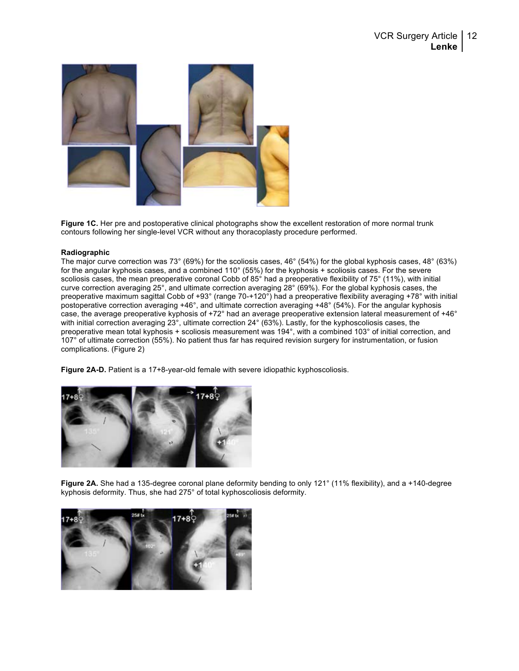

**Figure 1C.** Her pre and postoperative clinical photographs show the excellent restoration of more normal trunk contours following her single-level VCR without any thoracoplasty procedure performed.

# **Radiographic**

The major curve correction was 73° (69%) for the scoliosis cases, 46° (54%) for the global kyphosis cases, 48° (63%) for the angular kyphosis cases, and a combined 110° (55%) for the kyphosis + scoliosis cases. For the severe scoliosis cases, the mean preoperative coronal Cobb of 85° had a preoperative flexibility of 75° (11%), with initial curve correction averaging 25°, and ultimate correction averaging 28° (69%). For the global kyphosis cases, the preoperative maximum sagittal Cobb of +93° (range 70-+120°) had a preoperative flexibility averaging +78° with initial postoperative correction averaging +46°, and ultimate correction averaging +48° (54%). For the angular kyphosis case, the average preoperative kyphosis of +72° had an average preoperative extension lateral measurement of +46° with initial correction averaging 23°, ultimate correction 24° (63%). Lastly, for the kyphoscoliosis cases, the preoperative mean total kyphosis + scoliosis measurement was 194°, with a combined 103° of initial correction, and 107° of ultimate correction (55%). No patient thus far has required revision surgery for instrumentation, or fusion complications. (Figure 2)

**Figure 2A-D.** Patient is a 17+8-year-old female with severe idiopathic kyphoscoliosis.



**Figure 2A.** She had a 135-degree coronal plane deformity bending to only 121° (11% flexibility), and a +140-degree kyphosis deformity. Thus, she had 275° of total kyphoscoliosis deformity.

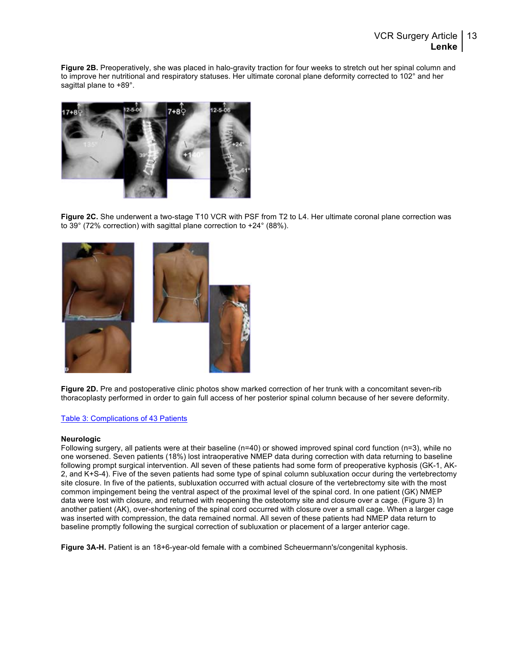**Figure 2B.** Preoperatively, she was placed in halo-gravity traction for four weeks to stretch out her spinal column and to improve her nutritional and respiratory statuses. Her ultimate coronal plane deformity corrected to 102° and her sagittal plane to +89°.



**Figure 2C.** She underwent a two-stage T10 VCR with PSF from T2 to L4. Her ultimate coronal plane correction was to 39° (72% correction) with sagittal plane correction to +24° (88%).



**Figure 2D.** Pre and postoperative clinic photos show marked correction of her trunk with a concomitant seven-rib thoracoplasty performed in order to gain full access of her posterior spinal column because of her severe deformity.

# Table 3: Complications of 43 Patients

#### **Neurologic**

Following surgery, all patients were at their baseline (n=40) or showed improved spinal cord function (n=3), while no one worsened. Seven patients (18%) lost intraoperative NMEP data during correction with data returning to baseline following prompt surgical intervention. All seven of these patients had some form of preoperative kyphosis (GK-1, AK-2, and K+S-4). Five of the seven patients had some type of spinal column subluxation occur during the vertebrectomy site closure. In five of the patients, subluxation occurred with actual closure of the vertebrectomy site with the most common impingement being the ventral aspect of the proximal level of the spinal cord. In one patient (GK) NMEP data were lost with closure, and returned with reopening the osteotomy site and closure over a cage. (Figure 3) In another patient (AK), over-shortening of the spinal cord occurred with closure over a small cage. When a larger cage was inserted with compression, the data remained normal. All seven of these patients had NMEP data return to baseline promptly following the surgical correction of subluxation or placement of a larger anterior cage.

**Figure 3A-H.** Patient is an 18+6-year-old female with a combined Scheuermann's/congenital kyphosis.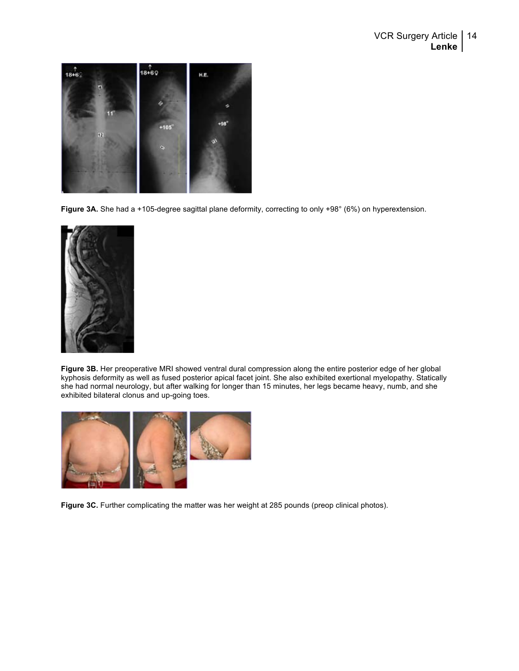

**Figure 3A.** She had a +105-degree sagittal plane deformity, correcting to only +98° (6%) on hyperextension.



**Figure 3B.** Her preoperative MRI showed ventral dural compression along the entire posterior edge of her global kyphosis deformity as well as fused posterior apical facet joint. She also exhibited exertional myelopathy. Statically she had normal neurology, but after walking for longer than 15 minutes, her legs became heavy, numb, and she exhibited bilateral clonus and up-going toes.



Figure 3C. Further complicating the matter was her weight at 285 pounds (preop clinical photos).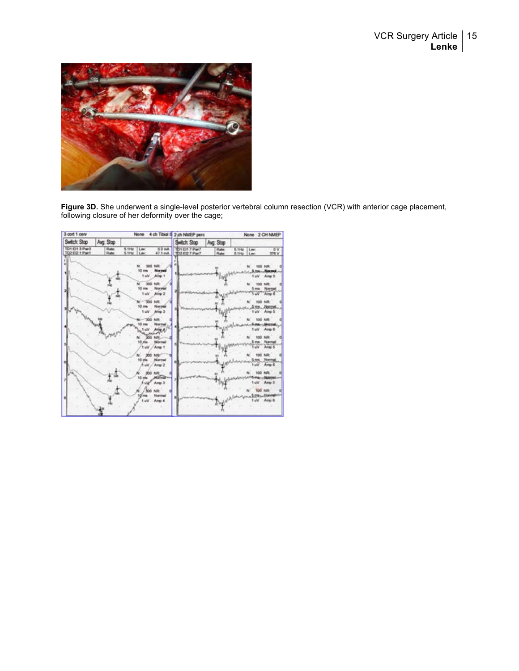

**Figure 3D.** She underwent a single-level posterior vertebral column resection (VCR) with anterior cage placement, following closure of her deformity over the cage;

| 3 cort 1 cerv                     |                      |                            |                                                        | None 4 ch Tibial S 2 ch NMEP perc |                            |                        | None 2 CH NMEP                                                     |
|-----------------------------------|----------------------|----------------------------|--------------------------------------------------------|-----------------------------------|----------------------------|------------------------|--------------------------------------------------------------------|
| Switch: Stop                      | Avg: Stop            |                            |                                                        | Switch: Stop                      | Avg: Stop                  |                        |                                                                    |
| TOT EIT 3 Par3<br>TO2 EI2 1 Pair1 | <b>Rate:</b><br>Rate | S. SHE Lev:<br>5.1Hz   Lev | Am 00<br>47.1 mA                                       | TD1:El1 7 Par7<br>TD2 EQ 7 Pw/7   | <b>Rate</b><br><b>Hutu</b> | 5.1Hz Law<br>5.1Hz Lev | QV<br>376 V                                                        |
|                                   |                      |                            | N 300 NR<br>10 mm Noronal<br>1uV Anp 1                 |                                   |                            |                        | N: 100 NR<br><b>S. S. Fork  . Prime proved</b><br><b>TUV Are 5</b> |
|                                   |                      |                            | N 300 NR<br>10 ms Normal<br>TuV Aire 2                 |                                   |                            |                        | N: 100 NR<br>5 ms Norms<br>Tuy Amp 6                               |
|                                   |                      | 10 mm                      | N: 300 NR<br>Normal<br>TWV Are 3                       |                                   |                            |                        | N. 100 NR<br>Area, Normal<br>1 uV Amp 5                            |
|                                   |                      | 10 mm<br>1 www.            | N 300 NR<br>Normal<br><b>ARA</b>                       |                                   |                            |                        | N 100 NR<br>S.m.  Moons<br>TuV Are 6                               |
|                                   |                      | 10 mm<br>14V               | N. 300 NR<br>Mixmus<br>Amp 1                           |                                   |                            |                        | N. 100 NR<br>5 ms Narny<br>1 uV Are 5                              |
|                                   |                      | 10 <i>iri</i> s<br>A WV 2  | N. 300 NR<br>Morrow<br>Anp 2                           |                                   |                            |                        | N: 100 NR<br>5 nov. Norma<br><b>TWV Amp 6</b>                      |
|                                   |                      |                            | <b>300 NR</b><br><b>Kilimat</b><br>Arg 3               |                                   |                            | N.                     | 100 NR<br>Affred James<br>1 uV Amp 5                               |
|                                   |                      |                            | NR:<br><b>Noch</b><br><b>Note thread</b><br>1 uV Are 4 |                                   |                            | N.                     | TOO NR<br>$.579 - 590$<br><b>TW Are 6</b>                          |
|                                   |                      |                            |                                                        |                                   |                            |                        |                                                                    |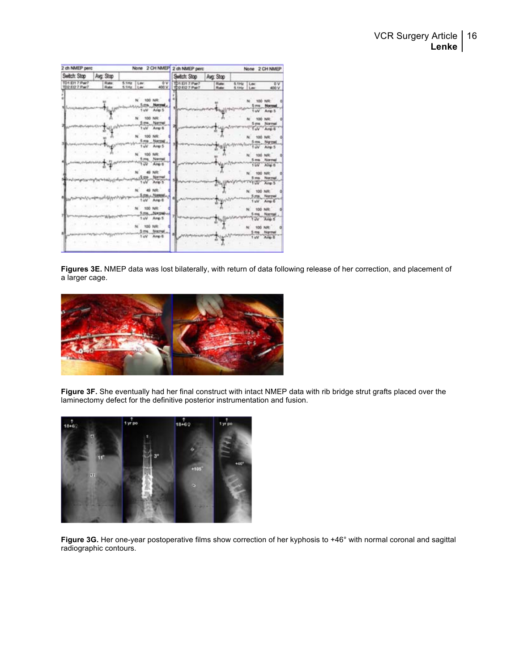| 2 ch NMEP perc                   |                     |                                           | None 2 CH NMEP                                  | 2 ch NMEP perc                  |              |                          | None 2 CH NMEP                                  |             |
|----------------------------------|---------------------|-------------------------------------------|-------------------------------------------------|---------------------------------|--------------|--------------------------|-------------------------------------------------|-------------|
| Switch: Stop                     | Aug: Stop           |                                           |                                                 | Switch: Stop                    | Aug: Stop    |                          |                                                 |             |
| TD1 El1 7 Paid<br>TD2 ED 7 Pai/7 | Rate<br><b>Rate</b> | 5.1Hz<br>Law <sub>1</sub><br>5 THz<br>Law | ōν<br>400 V                                     | TD1 El1 7 Part<br>TD2 EQ 7 Paid | Rate<br>Rate | <b>G. TIHLE</b><br>5.1Hz | Lev<br>Lev                                      | ov<br>400 V |
|                                  |                     |                                           | N 100 NR<br><b>Les Nems</b><br><b>TWV Are 5</b> |                                 |              |                          | N: 100 NR<br>5 ms Normal<br>TuV Are 5           |             |
|                                  |                     |                                           | 100 NR<br>5 ms., Norme                          |                                 |              |                          | Nr. 100 NR<br>5 ma Normal                       |             |
|                                  |                     |                                           | 1 uV Angi 6<br>100 NR<br>5 ms Normal            |                                 |              |                          | TuV Are 6<br>N: 100 NR<br>5 ms. Normel          |             |
|                                  |                     |                                           | TuV Are 5<br>100 NR<br>Name<br>Sma 1            |                                 |              |                          | TW Amp5<br>N: 100 NR                            |             |
|                                  |                     |                                           | TOV Are 6<br><b>NE 49 NR</b>                    |                                 |              |                          | 5 ms Normal<br>"YEN" Alige 6<br>N 100 NR        |             |
|                                  |                     |                                           | 15.09 Normal<br>tuV Are 5<br>49 NR              |                                 |              |                          | 5 ms Normal<br><b>TYTU Are 5</b><br>N: 100 NR   |             |
|                                  |                     |                                           | S.cos., Named.,<br>tiaV Amp 6<br>V 100 NR       |                                 |              |                          | <b>June</b> , Normal<br>1 uV Arre 6             |             |
|                                  |                     |                                           | 5.ms., Necessi<br><b>TuV Are 5</b>              |                                 |              |                          | N: 100 NR:<br>5 mg Narn<br>Are 5<br><b>VEFT</b> |             |
|                                  |                     |                                           | N: 100 NR<br>Ams blochul<br>1 uV Amp 6          |                                 |              |                          | N: 100 NR<br>5 mg Narma<br>1 uV Amp 6           |             |
|                                  |                     |                                           |                                                 |                                 |              |                          |                                                 |             |

**Figures 3E.** NMEP data was lost bilaterally, with return of data following release of her correction, and placement of a larger cage.



**Figure 3F.** She eventually had her final construct with intact NMEP data with rib bridge strut grafts placed over the laminectomy defect for the definitive posterior instrumentation and fusion.



**Figure 3G.** Her one-year postoperative films show correction of her kyphosis to +46° with normal coronal and sagittal radiographic contours.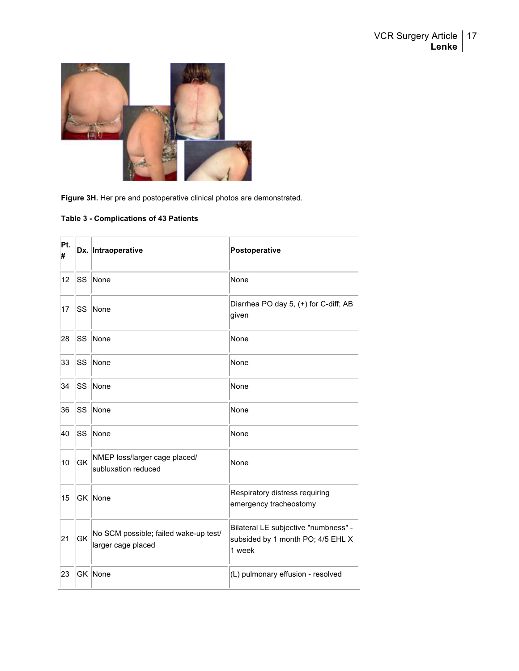

**Figure 3H.** Her pre and postoperative clinical photos are demonstrated.

| Pt.<br># |           | Dx. Intraoperative                                          | Postoperative                                                                       |
|----------|-----------|-------------------------------------------------------------|-------------------------------------------------------------------------------------|
| 12       | SS        | None                                                        | None                                                                                |
| 17       | SS        | None                                                        | Diarrhea PO day 5, (+) for C-diff; AB<br>given                                      |
| 28       | <b>SS</b> | None                                                        | None                                                                                |
| 33       | SS        | None                                                        | None                                                                                |
| 34       | SS        | None                                                        | None                                                                                |
| 36       | SS        | None                                                        | None                                                                                |
| 40       | SS        | None                                                        | None                                                                                |
| 10       | GK        | NMEP loss/larger cage placed/<br>subluxation reduced        | None                                                                                |
| 15       |           | GK None                                                     | Respiratory distress requiring<br>emergency tracheostomy                            |
| 21       | GK        | No SCM possible; failed wake-up test/<br>larger cage placed | Bilateral LE subjective "numbness" -<br>subsided by 1 month PO; 4/5 EHL X<br>1 week |
| 23       |           | GK None                                                     | (L) pulmonary effusion - resolved                                                   |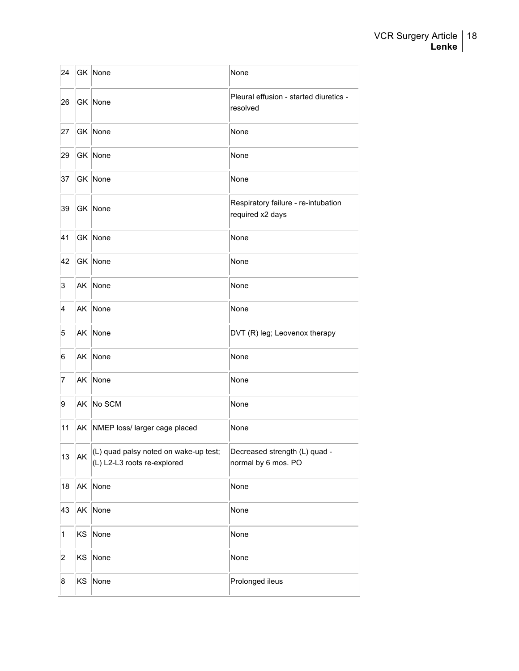| 24                      |           | GK None                                                              | None                                                    |
|-------------------------|-----------|----------------------------------------------------------------------|---------------------------------------------------------|
| 26                      |           | GK None                                                              | Pleural effusion - started diuretics -<br>resolved      |
| 27                      |           | GK None                                                              | None                                                    |
| 29                      |           | GK None                                                              | None                                                    |
| 37                      |           | GK None                                                              | None                                                    |
| 39                      |           | GK None                                                              | Respiratory failure - re-intubation<br>required x2 days |
| 41                      |           | GK None                                                              | None                                                    |
| 42                      |           | GK None                                                              | None                                                    |
| 3                       |           | AK None                                                              | None                                                    |
| $\overline{\mathbf{4}}$ |           | AK None                                                              | None                                                    |
| 5                       |           | AK None                                                              | DVT (R) leg; Leovenox therapy                           |
| 6                       |           | AK None                                                              | None                                                    |
| $\overline{7}$          |           | AK None                                                              | None                                                    |
| 9                       |           | AK No SCM                                                            | None                                                    |
| 11                      |           | AK NMEP loss/larger cage placed                                      | None                                                    |
| 13                      | AK        | (L) quad palsy noted on wake-up test;<br>(L) L2-L3 roots re-explored | Decreased strength (L) quad -<br>normal by 6 mos. PO    |
| 18                      |           | AK None                                                              | None                                                    |
| 43                      |           | AK None                                                              | None                                                    |
| $\mathbf{1}$            | <b>KS</b> | None                                                                 | None                                                    |
| $\overline{c}$          | KS        | None                                                                 | None                                                    |
| 8                       | KS        | None                                                                 | Prolonged ileus                                         |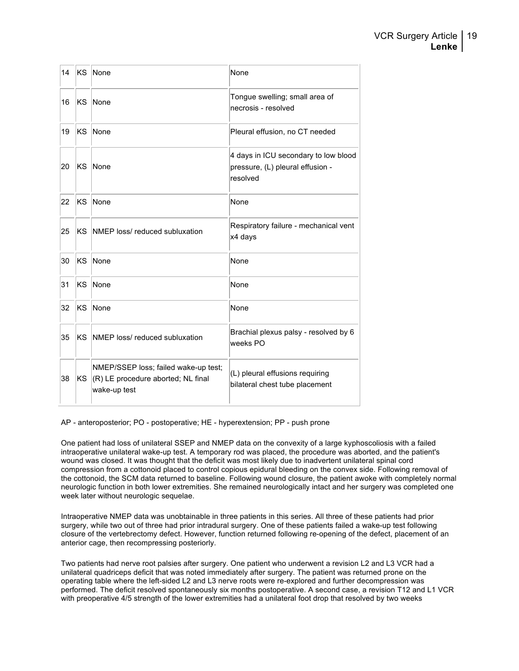| 14 | <b>KS</b> | None                                                                                         | None                                                                                 |
|----|-----------|----------------------------------------------------------------------------------------------|--------------------------------------------------------------------------------------|
| 16 | <b>KS</b> | None                                                                                         | Tongue swelling; small area of<br>necrosis - resolved                                |
| 19 | KS        | None                                                                                         | Pleural effusion, no CT needed                                                       |
| 20 | KS.       | None                                                                                         | 4 days in ICU secondary to low blood<br>pressure, (L) pleural effusion -<br>resolved |
| 22 | KS        | None                                                                                         | None                                                                                 |
| 25 | KS.       | NMEP loss/ reduced subluxation                                                               | Respiratory failure - mechanical vent<br>x4 days                                     |
| 30 | KS        | None                                                                                         | None                                                                                 |
| 31 | KS        | None                                                                                         | None                                                                                 |
| 32 | <b>KS</b> | None                                                                                         | None                                                                                 |
| 35 |           | KS NMEP loss/reduced subluxation                                                             | Brachial plexus palsy - resolved by 6<br>weeks PO                                    |
| 38 | KS        | NMEP/SSEP loss; failed wake-up test;<br>$(R)$ LE procedure aborted; NL final<br>wake-up test | (L) pleural effusions requiring<br>bilateral chest tube placement                    |

AP - anteroposterior; PO - postoperative; HE - hyperextension; PP - push prone

One patient had loss of unilateral SSEP and NMEP data on the convexity of a large kyphoscoliosis with a failed intraoperative unilateral wake-up test. A temporary rod was placed, the procedure was aborted, and the patient's wound was closed. It was thought that the deficit was most likely due to inadvertent unilateral spinal cord compression from a cottonoid placed to control copious epidural bleeding on the convex side. Following removal of the cottonoid, the SCM data returned to baseline. Following wound closure, the patient awoke with completely normal neurologic function in both lower extremities. She remained neurologically intact and her surgery was completed one week later without neurologic sequelae.

Intraoperative NMEP data was unobtainable in three patients in this series. All three of these patients had prior surgery, while two out of three had prior intradural surgery. One of these patients failed a wake-up test following closure of the vertebrectomy defect. However, function returned following re-opening of the defect, placement of an anterior cage, then recompressing posteriorly.

Two patients had nerve root palsies after surgery. One patient who underwent a revision L2 and L3 VCR had a unilateral quadriceps deficit that was noted immediately after surgery. The patient was returned prone on the operating table where the left-sided L2 and L3 nerve roots were re-explored and further decompression was performed. The deficit resolved spontaneously six months postoperative. A second case, a revision T12 and L1 VCR with preoperative 4/5 strength of the lower extremities had a unilateral foot drop that resolved by two weeks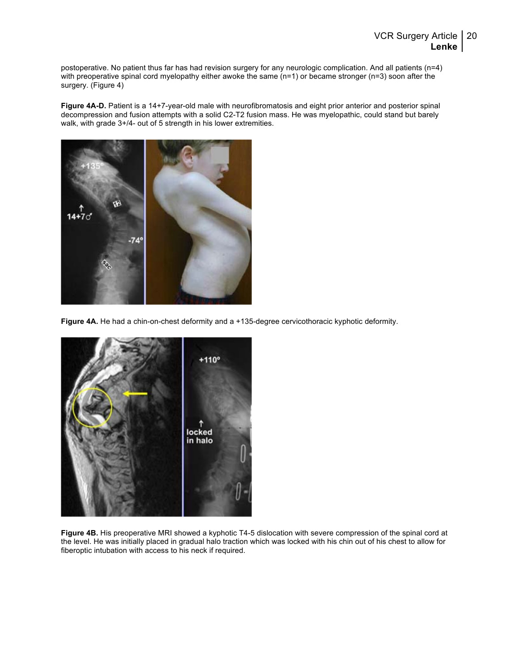postoperative. No patient thus far has had revision surgery for any neurologic complication. And all patients (n=4) with preoperative spinal cord myelopathy either awoke the same (n=1) or became stronger (n=3) soon after the surgery. (Figure 4)

**Figure 4A-D.** Patient is a 14+7-year-old male with neurofibromatosis and eight prior anterior and posterior spinal decompression and fusion attempts with a solid C2-T2 fusion mass. He was myelopathic, could stand but barely walk, with grade 3+/4- out of 5 strength in his lower extremities.



Figure 4A. He had a chin-on-chest deformity and a +135-degree cervicothoracic kyphotic deformity.



**Figure 4B.** His preoperative MRI showed a kyphotic T4-5 dislocation with severe compression of the spinal cord at the level. He was initially placed in gradual halo traction which was locked with his chin out of his chest to allow for fiberoptic intubation with access to his neck if required.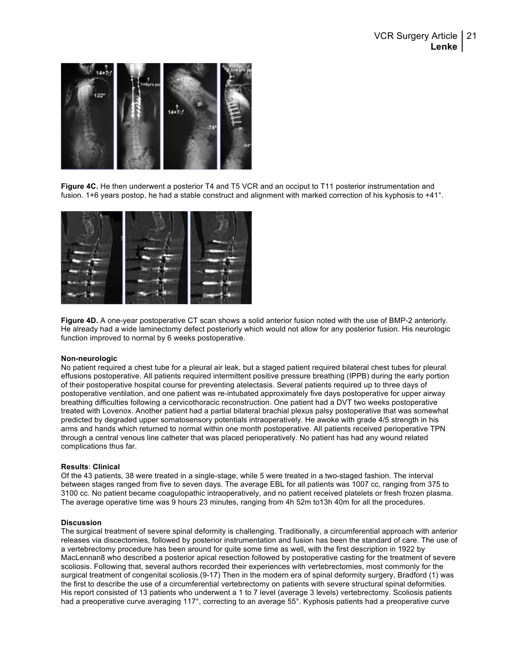

**Figure 4C.** He then underwent a posterior T4 and T5 VCR and an occiput to T11 posterior instrumentation and fusion. 1+6 years postop, he had a stable construct and alignment with marked correction of his kyphosis to +41°.



**Figure 4D.** A one-year postoperative CT scan shows a solid anterior fusion noted with the use of BMP-2 anteriorly. He already had a wide laminectomy defect posteriorly which would not allow for any posterior fusion. His neurologic function improved to normal by 6 weeks postoperative.

# **Non-neurologic**

No patient required a chest tube for a pleural air leak, but a staged patient required bilateral chest tubes for pleural effusions postoperative. All patients required intermittent positive pressure breathing (IPPB) during the early portion of their postoperative hospital course for preventing atelectasis. Several patients required up to three days of postoperative ventilation, and one patient was re-intubated approximately five days postoperative for upper airway breathing difficulties following a cervicothoracic reconstruction. One patient had a DVT two weeks postoperative treated with Lovenox. Another patient had a partial bilateral brachial plexus palsy postoperative that was somewhat predicted by degraded upper somatosensory potentials intraoperatively. He awoke with grade 4/5 strength in his arms and hands which returned to normal within one month postoperative. All patients received perioperative TPN through a central venous line catheter that was placed perioperatively. No patient has had any wound related complications thus far.

#### **Results**: **Clinical**

Of the 43 patients, 38 were treated in a single-stage, while 5 were treated in a two-staged fashion. The interval between stages ranged from five to seven days. The average EBL for all patients was 1007 cc, ranging from 375 to 3100 cc. No patient became coagulopathic intraoperatively, and no patient received platelets or fresh frozen plasma. The average operative time was 9 hours 23 minutes, ranging from 4h 52m to13h 40m for all the procedures.

#### **Discussion**

The surgical treatment of severe spinal deformity is challenging. Traditionally, a circumferential approach with anterior releases via discectomies, followed by posterior instrumentation and fusion has been the standard of care. The use of a vertebrectomy procedure has been around for quite some time as well, with the first description in 1922 by MacLennan8 who described a posterior apical resection followed by postoperative casting for the treatment of severe scoliosis. Following that, several authors recorded their experiences with vertebrectomies, most commonly for the surgical treatment of congenital scoliosis.(9-17) Then in the modern era of spinal deformity surgery, Bradford (1) was the first to describe the use of a circumferential vertebrectomy on patients with severe structural spinal deformities. His report consisted of 13 patients who underwent a 1 to 7 level (average 3 levels) vertebrectomy. Scoliosis patients had a preoperative curve averaging 117°, correcting to an average 55°. Kyphosis patients had a preoperative curve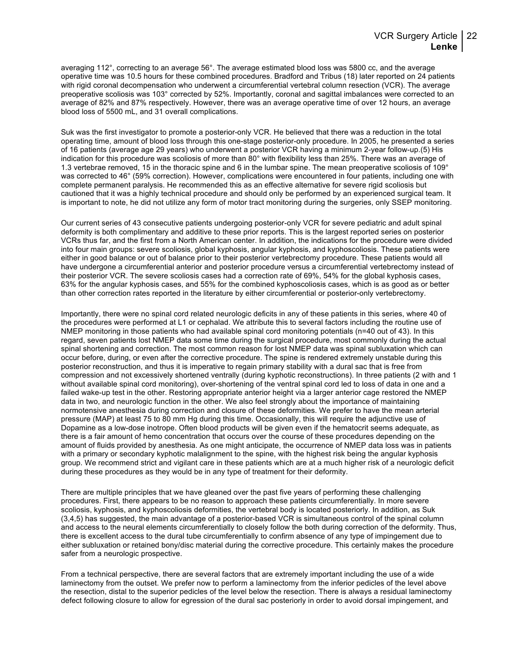averaging 112°, correcting to an average 56°. The average estimated blood loss was 5800 cc, and the average operative time was 10.5 hours for these combined procedures. Bradford and Tribus (18) later reported on 24 patients with rigid coronal decompensation who underwent a circumferential vertebral column resection (VCR). The average preoperative scoliosis was 103° corrected by 52%. Importantly, coronal and sagittal imbalances were corrected to an average of 82% and 87% respectively. However, there was an average operative time of over 12 hours, an average blood loss of 5500 mL, and 31 overall complications.

Suk was the first investigator to promote a posterior-only VCR. He believed that there was a reduction in the total operating time, amount of blood loss through this one-stage posterior-only procedure. In 2005, he presented a series of 16 patients (average age 29 years) who underwent a posterior VCR having a minimum 2-year follow-up.(5) His indication for this procedure was scoliosis of more than 80° with flexibility less than 25%. There was an average of 1.3 vertebrae removed, 15 in the thoracic spine and 6 in the lumbar spine. The mean preoperative scoliosis of 109° was corrected to 46° (59% correction). However, complications were encountered in four patients, including one with complete permanent paralysis. He recommended this as an effective alternative for severe rigid scoliosis but cautioned that it was a highly technical procedure and should only be performed by an experienced surgical team. It is important to note, he did not utilize any form of motor tract monitoring during the surgeries, only SSEP monitoring.

Our current series of 43 consecutive patients undergoing posterior-only VCR for severe pediatric and adult spinal deformity is both complimentary and additive to these prior reports. This is the largest reported series on posterior VCRs thus far, and the first from a North American center. In addition, the indications for the procedure were divided into four main groups: severe scoliosis, global kyphosis, angular kyphosis, and kyphoscoliosis. These patients were either in good balance or out of balance prior to their posterior vertebrectomy procedure. These patients would all have undergone a circumferential anterior and posterior procedure versus a circumferential vertebrectomy instead of their posterior VCR. The severe scoliosis cases had a correction rate of 69%, 54% for the global kyphosis cases, 63% for the angular kyphosis cases, and 55% for the combined kyphoscoliosis cases, which is as good as or better than other correction rates reported in the literature by either circumferential or posterior-only vertebrectomy.

Importantly, there were no spinal cord related neurologic deficits in any of these patients in this series, where 40 of the procedures were performed at L1 or cephalad. We attribute this to several factors including the routine use of NMEP monitoring in those patients who had available spinal cord monitoring potentials (n=40 out of 43). In this regard, seven patients lost NMEP data some time during the surgical procedure, most commonly during the actual spinal shortening and correction. The most common reason for lost NMEP data was spinal subluxation which can occur before, during, or even after the corrective procedure. The spine is rendered extremely unstable during this posterior reconstruction, and thus it is imperative to regain primary stability with a dural sac that is free from compression and not excessively shortened ventrally (during kyphotic reconstructions). In three patients (2 with and 1 without available spinal cord monitoring), over-shortening of the ventral spinal cord led to loss of data in one and a failed wake-up test in the other. Restoring appropriate anterior height via a larger anterior cage restored the NMEP data in two, and neurologic function in the other. We also feel strongly about the importance of maintaining normotensive anesthesia during correction and closure of these deformities. We prefer to have the mean arterial pressure (MAP) at least 75 to 80 mm Hg during this time. Occasionally, this will require the adjunctive use of Dopamine as a low-dose inotrope. Often blood products will be given even if the hematocrit seems adequate, as there is a fair amount of hemo concentration that occurs over the course of these procedures depending on the amount of fluids provided by anesthesia. As one might anticipate, the occurrence of NMEP data loss was in patients with a primary or secondary kyphotic malalignment to the spine, with the highest risk being the angular kyphosis group. We recommend strict and vigilant care in these patients which are at a much higher risk of a neurologic deficit during these procedures as they would be in any type of treatment for their deformity.

There are multiple principles that we have gleaned over the past five years of performing these challenging procedures. First, there appears to be no reason to approach these patients circumferentially. In more severe scoliosis, kyphosis, and kyphoscoliosis deformities, the vertebral body is located posteriorly. In addition, as Suk (3,4,5) has suggested, the main advantage of a posterior-based VCR is simultaneous control of the spinal column and access to the neural elements circumferentially to closely follow the both during correction of the deformity. Thus, there is excellent access to the dural tube circumferentially to confirm absence of any type of impingement due to either subluxation or retained bony/disc material during the corrective procedure. This certainly makes the procedure safer from a neurologic prospective.

From a technical perspective, there are several factors that are extremely important including the use of a wide laminectomy from the outset. We prefer now to perform a laminectomy from the inferior pedicles of the level above the resection, distal to the superior pedicles of the level below the resection. There is always a residual laminectomy defect following closure to allow for egression of the dural sac posteriorly in order to avoid dorsal impingement, and